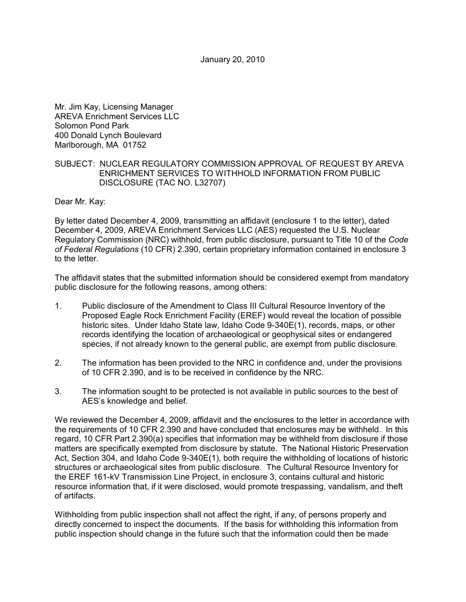January 20, 2010

Mr. Jim Kay, Licensing Manager AREVA Enrichment Services LLC Solomon Pond Park 400 Donald Lynch Boulevard Marlborough, MA 01752

## SUBJECT: NUCLEAR REGULATORY COMMISSION APPROVAL OF REQUEST BY AREVA ENRICHMENT SERVICES TO WITHHOLD INFORMATION FROM PUBLIC DISCLOSURE (TAC NO. L32707)

Dear Mr. Kay:

By letter dated December 4, 2009, transmitting an affidavit (enclosure 1 to the letter), dated December 4, 2009, AREVA Enrichment Services LLC (AES) requested the U.S. Nuclear Regulatory Commission (NRC) withhold, from public disclosure, pursuant to Title 10 of the *Code of Federal Regulations* (10 CFR) 2.390, certain proprietary information contained in enclosure 3 to the letter.

The affidavit states that the submitted information should be considered exempt from mandatory public disclosure for the following reasons, among others:

- 1. Public disclosure of the Amendment to Class III Cultural Resource Inventory of the Proposed Eagle Rock Enrichment Facility (EREF) would reveal the location of possible historic sites. Under Idaho State law, Idaho Code 9-340E(1), records, maps, or other records identifying the location of archaeological or geophysical sites or endangered species, if not already known to the general public, are exempt from public disclosure.
- 2. The information has been provided to the NRC in confidence and, under the provisions of 10 CFR 2.390, and is to be received in confidence by the NRC.
- 3. The information sought to be protected is not available in public sources to the best of AES's knowledge and belief.

We reviewed the December 4, 2009, affidavit and the enclosures to the letter in accordance with the requirements of 10 CFR 2.390 and have concluded that enclosures may be withheld. In this regard, 10 CFR Part 2.390(a) specifies that information may be withheld from disclosure if those matters are specifically exempted from disclosure by statute. The National Historic Preservation Act, Section 304, and Idaho Code 9-340E(1), both require the withholding of locations of historic structures or archaeological sites from public disclosure. The Cultural Resource Inventory for the EREF 161-kV Transmission Line Project, in enclosure 3, contains cultural and historic resource information that, if it were disclosed, would promote trespassing, vandalism, and theft of artifacts.

Withholding from public inspection shall not affect the right, if any, of persons properly and directly concerned to inspect the documents. If the basis for withholding this information from public inspection should change in the future such that the information could then be made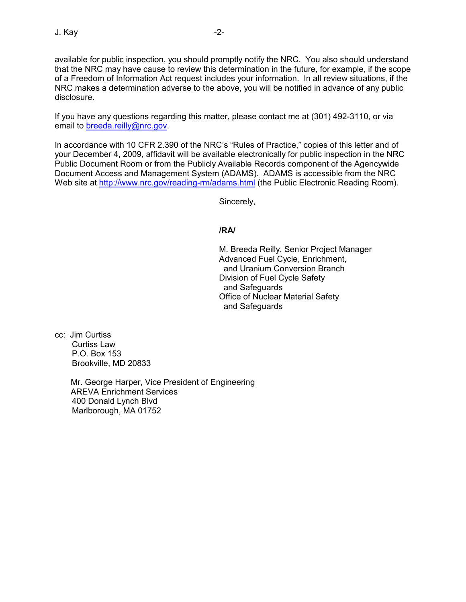available for public inspection, you should promptly notify the NRC. You also should understand that the NRC may have cause to review this determination in the future, for example, if the scope of a Freedom of Information Act request includes your information. In all review situations, if the NRC makes a determination adverse to the above, you will be notified in advance of any public disclosure.

If you have any questions regarding this matter, please contact me at (301) 492-3110, or via email to breeda.reilly@nrc.gov.

In accordance with 10 CFR 2.390 of the NRC's "Rules of Practice," copies of this letter and of your December 4, 2009, affidavit will be available electronically for public inspection in the NRC Public Document Room or from the Publicly Available Records component of the Agencywide Document Access and Management System (ADAMS). ADAMS is accessible from the NRC Web site at http://www.nrc.gov/reading-rm/adams.html (the Public Electronic Reading Room).

Sincerely,

**/RA/** 

M. Breeda Reilly, Senior Project Manager Advanced Fuel Cycle, Enrichment, and Uranium Conversion Branch Division of Fuel Cycle Safety and Safeguards Office of Nuclear Material Safety and Safeguards

cc: Jim Curtiss Curtiss Law P.O. Box 153 Brookville, MD 20833

> Mr. George Harper, Vice President of Engineering AREVA Enrichment Services 400 Donald Lynch Blvd Marlborough, MA 01752